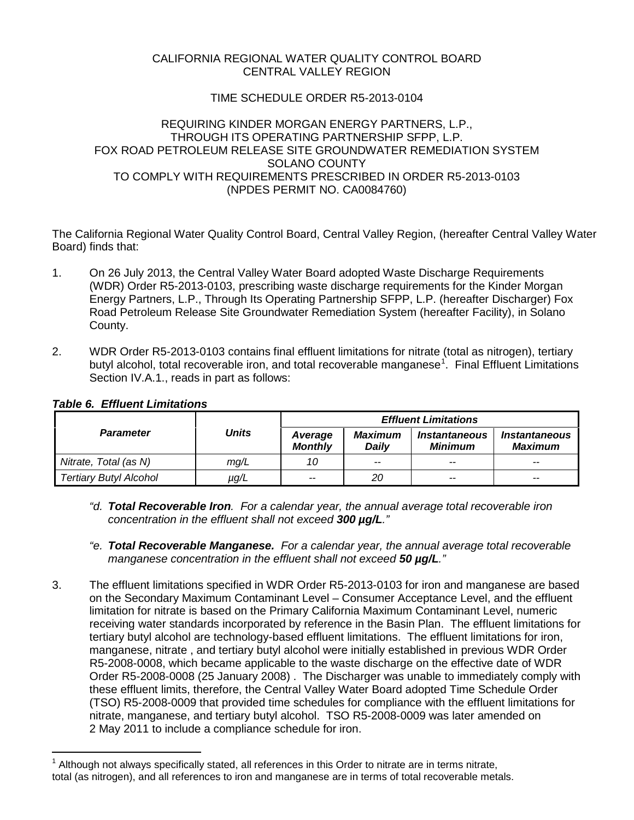### CALIFORNIA REGIONAL WATER QUALITY CONTROL BOARD CENTRAL VALLEY REGION

# TIME SCHEDULE ORDER R5-2013-0104

### REQUIRING KINDER MORGAN ENERGY PARTNERS, L.P., THROUGH ITS OPERATING PARTNERSHIP SFPP, L.P. FOX ROAD PETROLEUM RELEASE SITE GROUNDWATER REMEDIATION SYSTEM SOLANO COUNTY TO COMPLY WITH REQUIREMENTS PRESCRIBED IN ORDER R5-2013-0103 (NPDES PERMIT NO. CA0084760)

The California Regional Water Quality Control Board, Central Valley Region, (hereafter Central Valley Water Board) finds that:

- 1. On 26 July 2013, the Central Valley Water Board adopted Waste Discharge Requirements (WDR) Order R5-2013-0103, prescribing waste discharge requirements for the Kinder Morgan Energy Partners, L.P., Through Its Operating Partnership SFPP, L.P. (hereafter Discharger) Fox Road Petroleum Release Site Groundwater Remediation System (hereafter Facility), in Solano County.
- 2. WDR Order R5-2013-0103 contains final effluent limitations for nitrate (total as nitrogen), tertiary butyl alcohol, total recoverable iron, and total recoverable manganese<sup>[1](#page-0-0)</sup>. Final Effluent Limitations Section IV.A.1., reads in part as follows:

| <b>Parameter</b>              | Units | <b>Effluent Limitations</b> |                         |                          |                                               |
|-------------------------------|-------|-----------------------------|-------------------------|--------------------------|-----------------------------------------------|
|                               |       | Average<br><b>Monthly</b>   | <b>Maximum</b><br>Dailv | Instantaneous<br>Minimum | <i><b>Instantaneous</b></i><br><b>Maximum</b> |
| Nitrate, Total (as N)         | mg/L  | 10                          | $- -$                   | $-$                      | $- -$                                         |
| <b>Tertiary Butyl Alcohol</b> | µg/L  | $-$                         | 20                      | $- -$                    | $-$                                           |

## *Table 6. Effluent Limitations*

- *"d. Total Recoverable Iron. For a calendar year, the annual average total recoverable iron concentration in the effluent shall not exceed 300 µg/L."*
- *"e. Total Recoverable Manganese. For a calendar year, the annual average total recoverable manganese concentration in the effluent shall not exceed 50 µg/L."*
- 3. The effluent limitations specified in WDR Order R5-2013-0103 for iron and manganese are based on the Secondary Maximum Contaminant Level – Consumer Acceptance Level, and the effluent limitation for nitrate is based on the Primary California Maximum Contaminant Level, numeric receiving water standards incorporated by reference in the Basin Plan. The effluent limitations for tertiary butyl alcohol are technology-based effluent limitations. The effluent limitations for iron, manganese, nitrate , and tertiary butyl alcohol were initially established in previous WDR Order R5-2008-0008, which became applicable to the waste discharge on the effective date of WDR Order R5-2008-0008 (25 January 2008) . The Discharger was unable to immediately comply with these effluent limits, therefore, the Central Valley Water Board adopted Time Schedule Order (TSO) R5-2008-0009 that provided time schedules for compliance with the effluent limitations for nitrate, manganese, and tertiary butyl alcohol. TSO R5-2008-0009 was later amended on 2 May 2011 to include a compliance schedule for iron.

<span id="page-0-0"></span>Although not always specifically stated, all references in this Order to nitrate are in terms nitrate, total (as nitrogen), and all references to iron and manganese are in terms of total recoverable metals.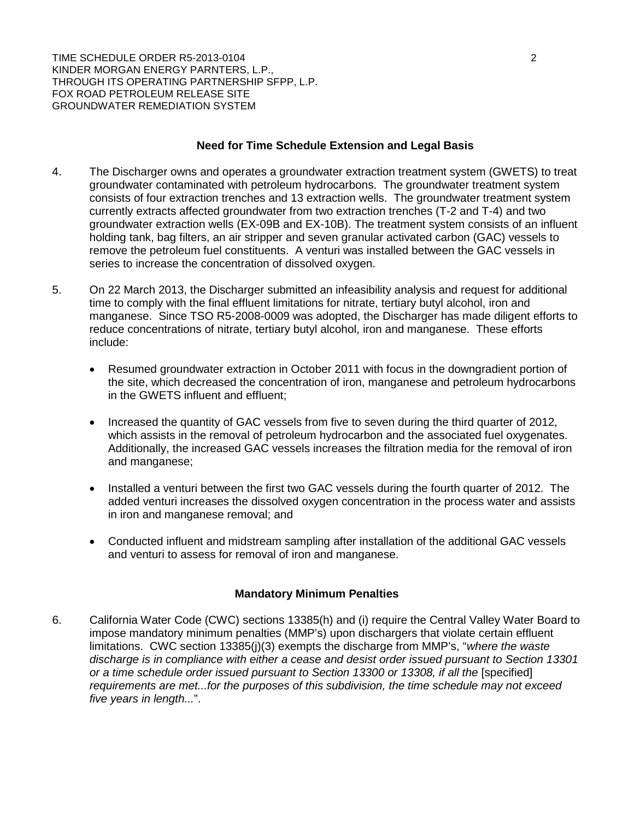TIME SCHEDULE ORDER R5-2013-0104 2 KINDER MORGAN ENERGY PARNTERS, L.P., THROUGH ITS OPERATING PARTNERSHIP SFPP, L.P. FOX ROAD PETROLEUM RELEASE SITE GROUNDWATER REMEDIATION SYSTEM

### **Need for Time Schedule Extension and Legal Basis**

- 4. The Discharger owns and operates a groundwater extraction treatment system (GWETS) to treat groundwater contaminated with petroleum hydrocarbons. The groundwater treatment system consists of four extraction trenches and 13 extraction wells. The groundwater treatment system currently extracts affected groundwater from two extraction trenches (T-2 and T-4) and two groundwater extraction wells (EX-09B and EX-10B). The treatment system consists of an influent holding tank, bag filters, an air stripper and seven granular activated carbon (GAC) vessels to remove the petroleum fuel constituents. A venturi was installed between the GAC vessels in series to increase the concentration of dissolved oxygen.
- 5. On 22 March 2013, the Discharger submitted an infeasibility analysis and request for additional time to comply with the final effluent limitations for nitrate, tertiary butyl alcohol, iron and manganese. Since TSO R5-2008-0009 was adopted, the Discharger has made diligent efforts to reduce concentrations of nitrate, tertiary butyl alcohol, iron and manganese. These efforts include:
	- Resumed groundwater extraction in October 2011 with focus in the downgradient portion of the site, which decreased the concentration of iron, manganese and petroleum hydrocarbons in the GWETS influent and effluent;
	- Increased the quantity of GAC vessels from five to seven during the third quarter of 2012, which assists in the removal of petroleum hydrocarbon and the associated fuel oxygenates. Additionally, the increased GAC vessels increases the filtration media for the removal of iron and manganese;
	- Installed a venturi between the first two GAC vessels during the fourth quarter of 2012. The added venturi increases the dissolved oxygen concentration in the process water and assists in iron and manganese removal; and
	- Conducted influent and midstream sampling after installation of the additional GAC vessels and venturi to assess for removal of iron and manganese.

#### **Mandatory Minimum Penalties**

6. California Water Code (CWC) sections 13385(h) and (i) require the Central Valley Water Board to impose mandatory minimum penalties (MMP's) upon dischargers that violate certain effluent limitations. CWC section 13385(j)(3) exempts the discharge from MMP's, "*where the waste discharge is in compliance with either a cease and desist order issued pursuant to Section 13301 or a time schedule order issued pursuant to Section 13300 or 13308, if all the [specified] requirements are met...for the purposes of this subdivision, the time schedule may not exceed five years in length...*".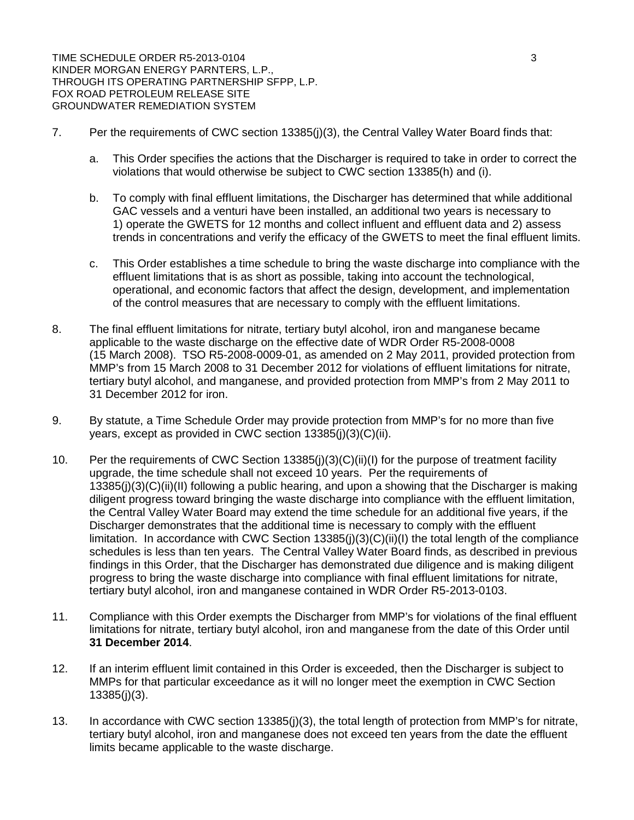TIME SCHEDULE ORDER R5-2013-0104 3 3 KINDER MORGAN ENERGY PARNTERS, L.P., THROUGH ITS OPERATING PARTNERSHIP SFPP, L.P. FOX ROAD PETROLEUM RELEASE SITE GROUNDWATER REMEDIATION SYSTEM

- 7. Per the requirements of CWC section 13385(j)(3), the Central Valley Water Board finds that:
	- a. This Order specifies the actions that the Discharger is required to take in order to correct the violations that would otherwise be subject to CWC section 13385(h) and (i).
	- b. To comply with final effluent limitations, the Discharger has determined that while additional GAC vessels and a venturi have been installed, an additional two years is necessary to 1) operate the GWETS for 12 months and collect influent and effluent data and 2) assess trends in concentrations and verify the efficacy of the GWETS to meet the final effluent limits.
	- c. This Order establishes a time schedule to bring the waste discharge into compliance with the effluent limitations that is as short as possible, taking into account the technological, operational, and economic factors that affect the design, development, and implementation of the control measures that are necessary to comply with the effluent limitations.
- 8. The final effluent limitations for nitrate, tertiary butyl alcohol, iron and manganese became applicable to the waste discharge on the effective date of WDR Order R5-2008-0008 (15 March 2008). TSO R5-2008-0009-01, as amended on 2 May 2011, provided protection from MMP's from 15 March 2008 to 31 December 2012 for violations of effluent limitations for nitrate, tertiary butyl alcohol, and manganese, and provided protection from MMP's from 2 May 2011 to 31 December 2012 for iron.
- 9. By statute, a Time Schedule Order may provide protection from MMP's for no more than five years, except as provided in CWC section 13385(j)(3)(C)(ii).
- 10. Per the requirements of CWC Section 13385(j)(3)(C)(ii)(I) for the purpose of treatment facility upgrade, the time schedule shall not exceed 10 years. Per the requirements of 13385(j)(3)(C)(ii)(II) following a public hearing, and upon a showing that the Discharger is making diligent progress toward bringing the waste discharge into compliance with the effluent limitation, the Central Valley Water Board may extend the time schedule for an additional five years, if the Discharger demonstrates that the additional time is necessary to comply with the effluent limitation. In accordance with CWC Section 13385(j)(3)(C)(ii)(I) the total length of the compliance schedules is less than ten years. The Central Valley Water Board finds, as described in previous findings in this Order, that the Discharger has demonstrated due diligence and is making diligent progress to bring the waste discharge into compliance with final effluent limitations for nitrate, tertiary butyl alcohol, iron and manganese contained in WDR Order R5-2013-0103.
- 11. Compliance with this Order exempts the Discharger from MMP's for violations of the final effluent limitations for nitrate, tertiary butyl alcohol, iron and manganese from the date of this Order until **31 December 2014**.
- 12. If an interim effluent limit contained in this Order is exceeded, then the Discharger is subject to MMPs for that particular exceedance as it will no longer meet the exemption in CWC Section 13385(j)(3).
- 13. In accordance with CWC section 13385(j)(3), the total length of protection from MMP's for nitrate, tertiary butyl alcohol, iron and manganese does not exceed ten years from the date the effluent limits became applicable to the waste discharge.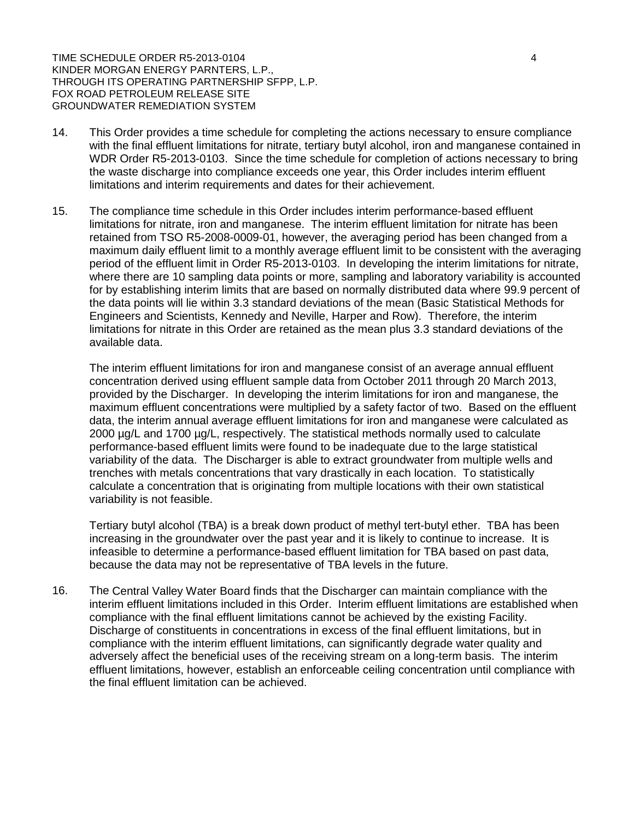TIME SCHEDULE ORDER R5-2013-0104 4 4 4 4 4 4 5 4 5 4 6 4 7 7 7 8 4 5 4 7 7 7 7 8 7 7 8 7 7 7 7 7 8 7 7 8 7 7 8 7 7 8 7 7 8 7 7 8 7 7 8 7 7 8 7 7 8 7 7 8 7 7 8 7 7 8 7 7 8 7 7 8 7 7 8 7 7 8 7 7 8 7 7 8 7 7 8 7 7 8 7 7 8 7 7 KINDER MORGAN ENERGY PARNTERS, L.P., THROUGH ITS OPERATING PARTNERSHIP SFPP, L.P. FOX ROAD PETROLEUM RELEASE SITE GROUNDWATER REMEDIATION SYSTEM

- 14. This Order provides a time schedule for completing the actions necessary to ensure compliance with the final effluent limitations for nitrate, tertiary butyl alcohol, iron and manganese contained in WDR Order R5-2013-0103. Since the time schedule for completion of actions necessary to bring the waste discharge into compliance exceeds one year, this Order includes interim effluent limitations and interim requirements and dates for their achievement.
- 15. The compliance time schedule in this Order includes interim performance-based effluent limitations for nitrate, iron and manganese. The interim effluent limitation for nitrate has been retained from TSO R5-2008-0009-01, however, the averaging period has been changed from a maximum daily effluent limit to a monthly average effluent limit to be consistent with the averaging period of the effluent limit in Order R5-2013-0103. In developing the interim limitations for nitrate, where there are 10 sampling data points or more, sampling and laboratory variability is accounted for by establishing interim limits that are based on normally distributed data where 99.9 percent of the data points will lie within 3.3 standard deviations of the mean (Basic Statistical Methods for Engineers and Scientists, Kennedy and Neville, Harper and Row). Therefore, the interim limitations for nitrate in this Order are retained as the mean plus 3.3 standard deviations of the available data.

The interim effluent limitations for iron and manganese consist of an average annual effluent concentration derived using effluent sample data from October 2011 through 20 March 2013, provided by the Discharger. In developing the interim limitations for iron and manganese, the maximum effluent concentrations were multiplied by a safety factor of two. Based on the effluent data, the interim annual average effluent limitations for iron and manganese were calculated as 2000 µg/L and 1700 µg/L, respectively. The statistical methods normally used to calculate performance-based effluent limits were found to be inadequate due to the large statistical variability of the data. The Discharger is able to extract groundwater from multiple wells and trenches with metals concentrations that vary drastically in each location. To statistically calculate a concentration that is originating from multiple locations with their own statistical variability is not feasible.

Tertiary butyl alcohol (TBA) is a break down product of methyl tert-butyl ether. TBA has been increasing in the groundwater over the past year and it is likely to continue to increase. It is infeasible to determine a performance-based effluent limitation for TBA based on past data, because the data may not be representative of TBA levels in the future.

16. The Central Valley Water Board finds that the Discharger can maintain compliance with the interim effluent limitations included in this Order. Interim effluent limitations are established when compliance with the final effluent limitations cannot be achieved by the existing Facility. Discharge of constituents in concentrations in excess of the final effluent limitations, but in compliance with the interim effluent limitations, can significantly degrade water quality and adversely affect the beneficial uses of the receiving stream on a long-term basis. The interim effluent limitations, however, establish an enforceable ceiling concentration until compliance with the final effluent limitation can be achieved.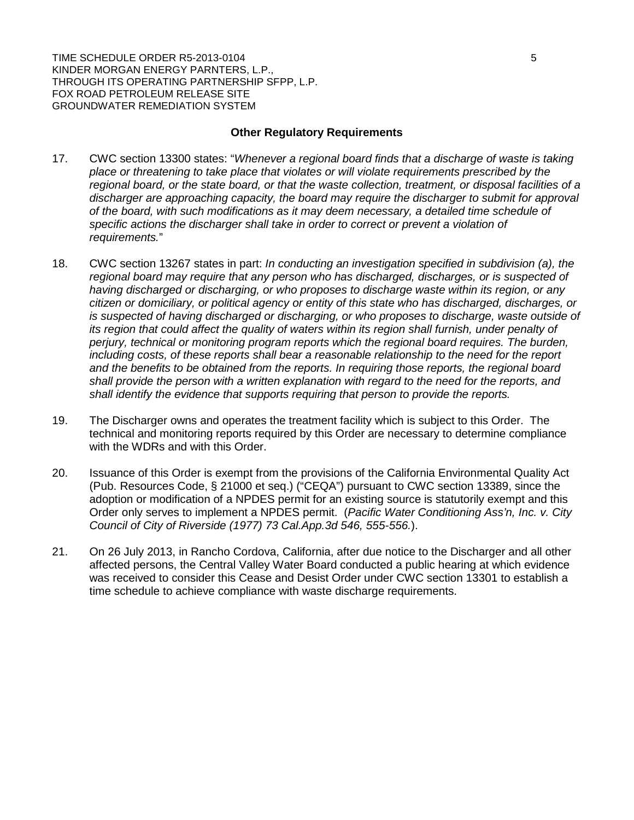TIME SCHEDULE ORDER R5-2013-0104 5 SHOW TO A RESERVE THE SCHEDULE ORDER R5-2013-0104 KINDER MORGAN ENERGY PARNTERS, L.P., THROUGH ITS OPERATING PARTNERSHIP SFPP, L.P. FOX ROAD PETROLEUM RELEASE SITE GROUNDWATER REMEDIATION SYSTEM

#### **Other Regulatory Requirements**

- 17. CWC section 13300 states: "*Whenever a regional board finds that a discharge of waste is taking place or threatening to take place that violates or will violate requirements prescribed by the regional board, or the state board, or that the waste collection, treatment, or disposal facilities of a discharger are approaching capacity, the board may require the discharger to submit for approval of the board, with such modifications as it may deem necessary, a detailed time schedule of specific actions the discharger shall take in order to correct or prevent a violation of requirements.*"
- 18. CWC section 13267 states in part: *In conducting an investigation specified in subdivision (a), the regional board may require that any person who has discharged, discharges, or is suspected of having discharged or discharging, or who proposes to discharge waste within its region, or any citizen or domiciliary, or political agency or entity of this state who has discharged, discharges, or is suspected of having discharged or discharging, or who proposes to discharge, waste outside of its region that could affect the quality of waters within its region shall furnish, under penalty of perjury, technical or monitoring program reports which the regional board requires. The burden, including costs, of these reports shall bear a reasonable relationship to the need for the report and the benefits to be obtained from the reports. In requiring those reports, the regional board shall provide the person with a written explanation with regard to the need for the reports, and shall identify the evidence that supports requiring that person to provide the reports.*
- 19. The Discharger owns and operates the treatment facility which is subject to this Order. The technical and monitoring reports required by this Order are necessary to determine compliance with the WDRs and with this Order.
- 20. Issuance of this Order is exempt from the provisions of the California Environmental Quality Act (Pub. Resources Code, § 21000 et seq.) ("CEQA") pursuant to CWC section 13389, since the adoption or modification of a NPDES permit for an existing source is statutorily exempt and this Order only serves to implement a NPDES permit. (*Pacific Water Conditioning Ass'n, Inc. v. City Council of City of Riverside (1977) 73 Cal.App.3d 546, 555-556.*).
- 21. On 26 July 2013, in Rancho Cordova, California, after due notice to the Discharger and all other affected persons, the Central Valley Water Board conducted a public hearing at which evidence was received to consider this Cease and Desist Order under CWC section 13301 to establish a time schedule to achieve compliance with waste discharge requirements.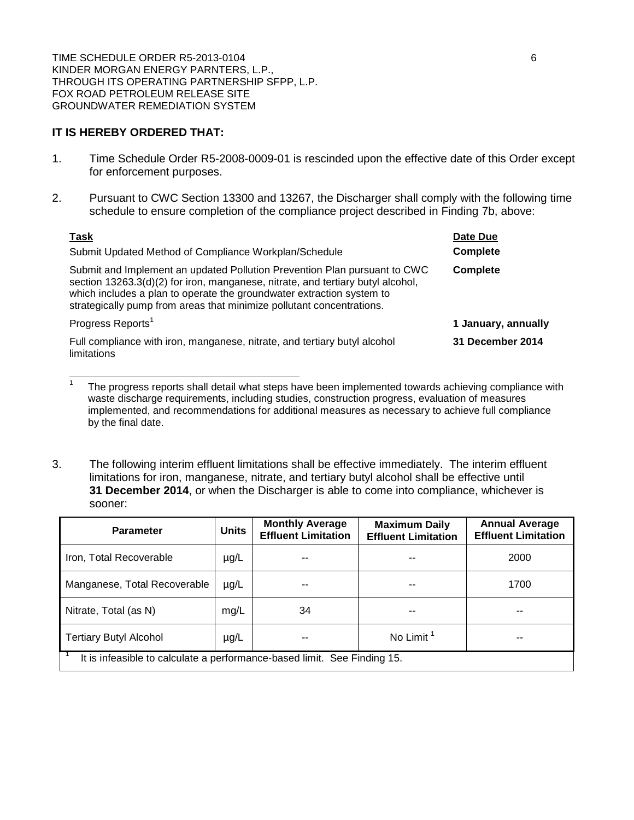TIME SCHEDULE ORDER R5-2013-0104 6 KINDER MORGAN ENERGY PARNTERS, L.P., THROUGH ITS OPERATING PARTNERSHIP SFPP, L.P. FOX ROAD PETROLEUM RELEASE SITE GROUNDWATER REMEDIATION SYSTEM

# **IT IS HEREBY ORDERED THAT:**

- 1. Time Schedule Order R5-2008-0009-01 is rescinded upon the effective date of this Order except for enforcement purposes.
- 2. Pursuant to CWC Section 13300 and 13267, the Discharger shall comply with the following time schedule to ensure completion of the compliance project described in Finding 7b, above:

| <b>Task</b>                                                                                                                                                                                                                                                                                                    | Date Due                |
|----------------------------------------------------------------------------------------------------------------------------------------------------------------------------------------------------------------------------------------------------------------------------------------------------------------|-------------------------|
| Submit Updated Method of Compliance Workplan/Schedule                                                                                                                                                                                                                                                          | <b>Complete</b>         |
| Submit and Implement an updated Pollution Prevention Plan pursuant to CWC<br>section 13263.3(d)(2) for iron, manganese, nitrate, and tertiary butyl alcohol,<br>which includes a plan to operate the groundwater extraction system to<br>strategically pump from areas that minimize pollutant concentrations. | <b>Complete</b>         |
| Progress Reports <sup>1</sup>                                                                                                                                                                                                                                                                                  | 1 January, annually     |
| Full compliance with iron, manganese, nitrate, and tertiary butyl alcohol<br>limitations                                                                                                                                                                                                                       | <b>31 December 2014</b> |

<sup>1</sup> The progress reports shall detail what steps have been implemented towards achieving compliance with waste discharge requirements, including studies, construction progress, evaluation of measures implemented, and recommendations for additional measures as necessary to achieve full compliance by the final date.

3. The following interim effluent limitations shall be effective immediately. The interim effluent limitations for iron, manganese, nitrate, and tertiary butyl alcohol shall be effective until **31 December 2014**, or when the Discharger is able to come into compliance, whichever is sooner:

| <b>Parameter</b>                                                         | <b>Units</b> | <b>Monthly Average</b><br><b>Effluent Limitation</b> | <b>Maximum Daily</b><br><b>Effluent Limitation</b> | <b>Annual Average</b><br><b>Effluent Limitation</b> |  |  |
|--------------------------------------------------------------------------|--------------|------------------------------------------------------|----------------------------------------------------|-----------------------------------------------------|--|--|
| Iron, Total Recoverable                                                  | $\mu$ g/L    |                                                      |                                                    | 2000                                                |  |  |
| Manganese, Total Recoverable                                             | $\mu$ g/L    |                                                      |                                                    | 1700                                                |  |  |
| Nitrate, Total (as N)                                                    | mg/L         | 34                                                   |                                                    |                                                     |  |  |
| <b>Tertiary Butyl Alcohol</b>                                            | $\mu$ g/L    |                                                      | No Limit <sup>1</sup>                              |                                                     |  |  |
| It is infeasible to calculate a performance-based limit. See Finding 15. |              |                                                      |                                                    |                                                     |  |  |